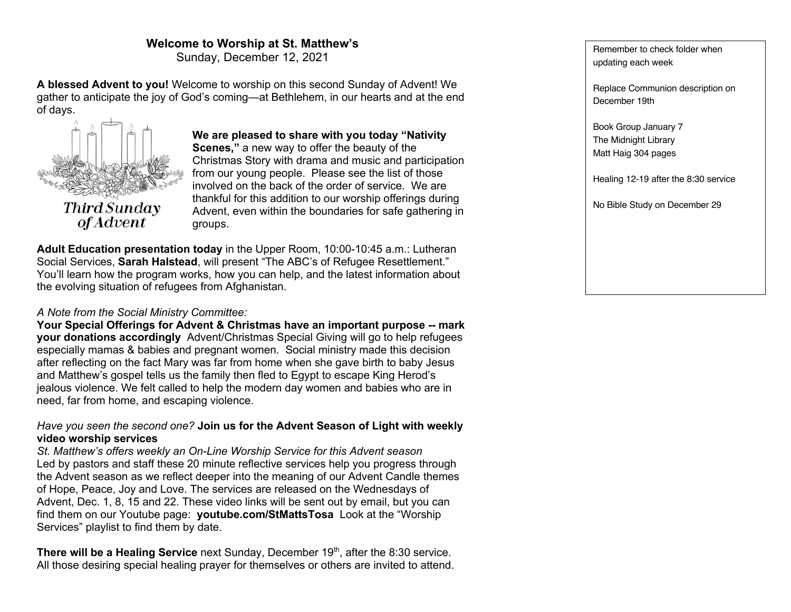# **Welcome to Worship at St. Matthew's**

Sunday, December 12, 2021

**A blessed Advent to you!** Welcome to worship on this second Sunday of Advent! We gather to anticipate the joy of God's coming—at Bethlehem, in our hearts and at the end of days.



**We are pleased to share with you today "Nativity Scenes,"** a new way to offer the beauty of the Christmas Story with drama and music and participation from our young people. Please see the list of those involved on the back of the order of service. We are thankful for this addition to our worship offerings during Advent, even within the boundaries for safe gathering in groups.

**Adult Education presentation today** in the Upper Room, 10:00-10:45 a.m.: Lutheran Social Services, **Sarah Halstead**, will present "The ABC's of Refugee Resettlement." You'll learn how the program works, how you can help, and the latest information about the evolving situation of refugees from Afghanistan.

### *A Note from the Social Ministry Committee:*

**Your Special Offerings for Advent & Christmas have an important purpose -- mark your donations accordingly** Advent/Christmas Special Giving will go to help refugees especially mamas & babies and pregnant women. Social ministry made this decision after reflecting on the fact Mary was far from home when she gave birth to baby Jesus and Matthew's gospel tells us the family then fled to Egypt to escape King Herod's jealous violence. We felt called to help the modern day women and babies who are in need, far from home, and escaping violence.

### *Have you seen the second one?* **Join us for the Advent Season of Light with weekly video worship services**

*St. Matthew's offers weekly an On-Line Worship Service for this Advent season* Led by pastors and staff these 20 minute reflective services help you progress through the Advent season as we reflect deeper into the meaning of our Advent Candle themes of Hope, Peace, Joy and Love. The services are released on the Wednesdays of Advent, Dec. 1, 8, 15 and 22. These video links will be sent out by email, but you can find them on our Youtube page: **youtube.com/StMattsTosa** Look at the "Worship Services" playlist to find them by date.

**There will be a Healing Service** next Sunday, December 19<sup>th</sup>, after the 8:30 service. All those desiring special healing prayer for themselves or others are invited to attend.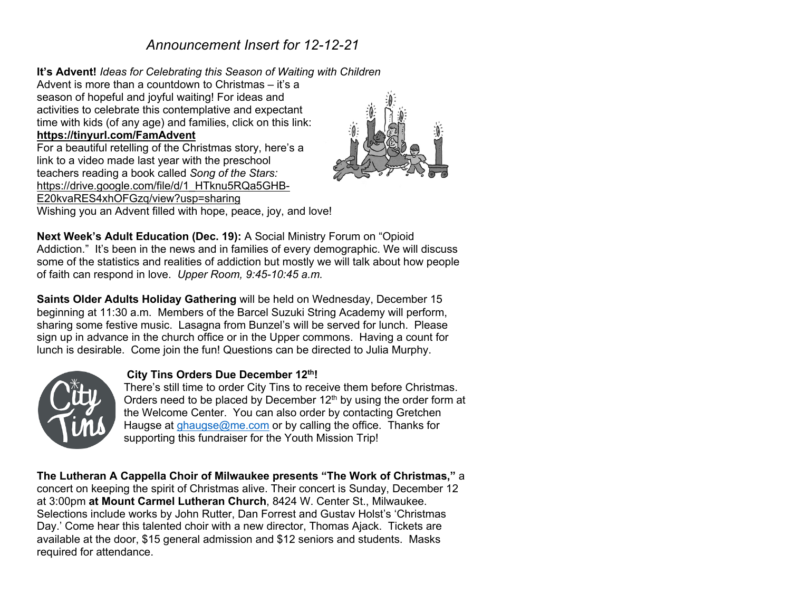# *Announcement Insert for 12-12-21*

### **It's Advent!** *Ideas for Celebrating this Season of Waiting with Children*

Advent is more than a countdown to Christmas – it's a season of hopeful and joyful waiting! For ideas and activities to celebrate this contemplative and expectant time with kids (of any age) and families, click on this link: **https://tinyurl.com/FamAdvent** For a beautiful retelling of the Christmas story, here's a link to a video made last year with the preschool teachers reading a book called *Song of the Stars:*  https://drive.google.com/file/d/1\_HTknu5RQa5GHB-E20kvaRES4xhOFGzq/view?usp=sharing Wishing you an Advent filled with hope, peace, joy, and love!



**Next Week's Adult Education (Dec. 19):** A Social Ministry Forum on "Opioid Addiction." It's been in the news and in families of every demographic. We will discuss some of the statistics and realities of addiction but mostly we will talk about how people of faith can respond in love. *Upper Room, 9:45-10:45 a.m.*

**Saints Older Adults Holiday Gathering** will be held on Wednesday, December 15 beginning at 11:30 a.m. Members of the Barcel Suzuki String Academy will perform, sharing some festive music. Lasagna from Bunzel's will be served for lunch. Please sign up in advance in the church office or in the Upper commons. Having a count for lunch is desirable. Come join the fun! Questions can be directed to Julia Murphy.



### **City Tins Orders Due December 12th!**

There's still time to order City Tins to receive them before Christmas. Orders need to be placed by December  $12<sup>th</sup>$  by using the order form at the Welcome Center. You can also order by contacting Gretchen Haugse at ghaugse@me.com or by calling the office. Thanks for supporting this fundraiser for the Youth Mission Trip!

**The Lutheran A Cappella Choir of Milwaukee presents "The Work of Christmas,"** a concert on keeping the spirit of Christmas alive. Their concert is Sunday, December 12 at 3:00pm **at Mount Carmel Lutheran Church**, 8424 W. Center St., Milwaukee. Selections include works by John Rutter, Dan Forrest and Gustav Holst's 'Christmas Day.' Come hear this talented choir with a new director, Thomas Ajack. Tickets are available at the door, \$15 general admission and \$12 seniors and students. Masks required for attendance.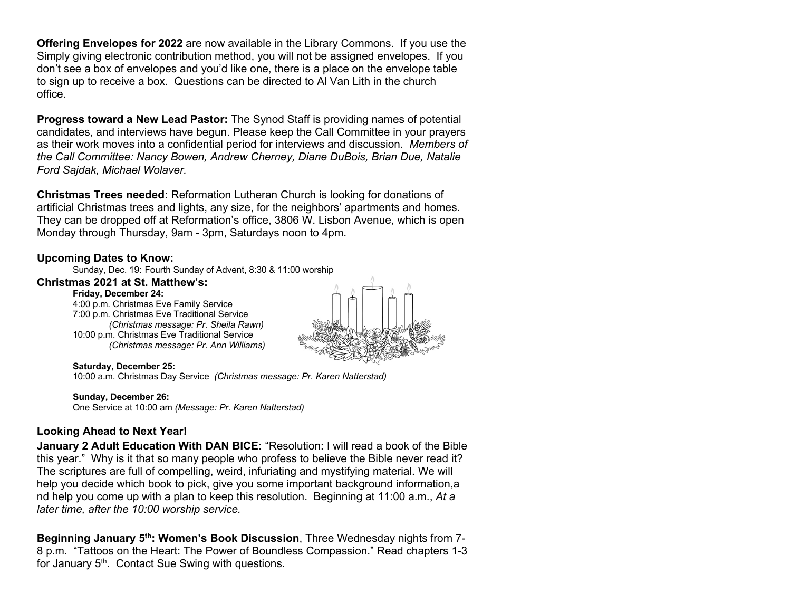**Offering Envelopes for 2022** are now available in the Library Commons. If you use the Simply giving electronic contribution method, you will not be assigned envelopes. If you don't see a box of envelopes and you'd like one, there is a place on the envelope table to sign up to receive a box. Questions can be directed to Al Van Lith in the church office.

**Progress toward a New Lead Pastor:** The Synod Staff is providing names of potential candidates, and interviews have begun. Please keep the Call Committee in your prayers as their work moves into a confidential period for interviews and discussion. *Members of the Call Committee: Nancy Bowen, Andrew Cherney, Diane DuBois, Brian Due, Natalie Ford Sajdak, Michael Wolaver.*

**Christmas Trees needed:** Reformation Lutheran Church is looking for donations of artificial Christmas trees and lights, any size, for the neighbors' apartments and homes. They can be dropped off at Reformation's office, 3806 W. Lisbon Avenue, which is open Monday through Thursday, 9am - 3pm, Saturdays noon to 4pm.

### **Upcoming Dates to Know:**

Sunday, Dec. 19: Fourth Sunday of Advent, 8:30 & 11:00 worship

#### **Christmas 2021 at St. Matthew's:**

**Friday, December 24:**

4:00 p.m. Christmas Eve Family Service 7:00 p.m. Christmas Eve Traditional Service *(Christmas message: Pr. Sheila Rawn)* 10:00 p.m. Christmas Eve Traditional Service *(Christmas message: Pr. Ann Williams)*



#### **Saturday, December 25:**

10:00 a.m. Christmas Day Service *(Christmas message: Pr. Karen Natterstad)*

#### **Sunday, December 26:**

One Service at 10:00 am *(Message: Pr. Karen Natterstad)*

# **Looking Ahead to Next Year!**

**January 2 Adult Education With DAN BICE:** "Resolution: I will read a book of the Bible this year." Why is it that so many people who profess to believe the Bible never read it? The scriptures are full of compelling, weird, infuriating and mystifying material. We will help you decide which book to pick, give you some important background information,a nd help you come up with a plan to keep this resolution. Beginning at 11:00 a.m., *At a later time, after the 10:00 worship service.*

**Beginning January 5th: Women's Book Discussion**, Three Wednesday nights from 7- 8 p.m. "Tattoos on the Heart: The Power of Boundless Compassion." Read chapters 1-3 for January  $5<sup>th</sup>$ . Contact Sue Swing with questions.